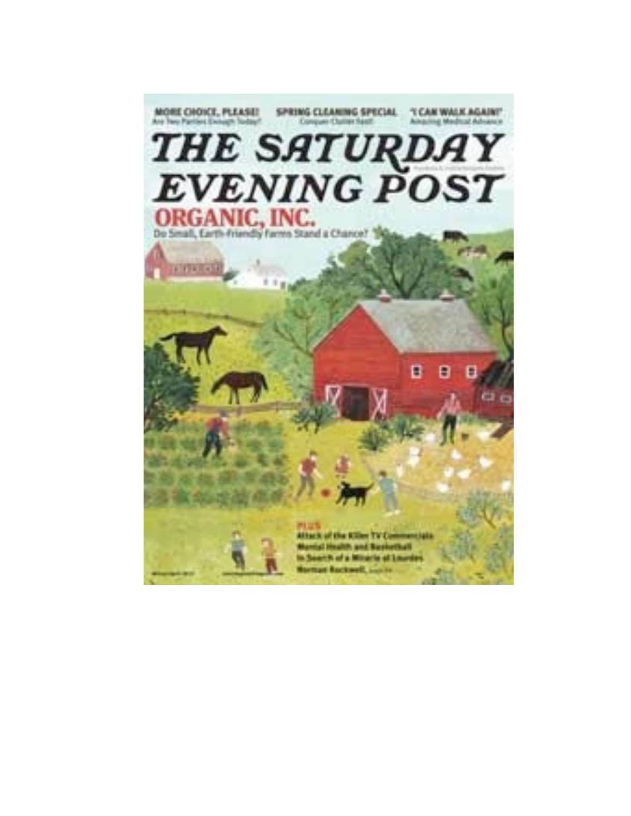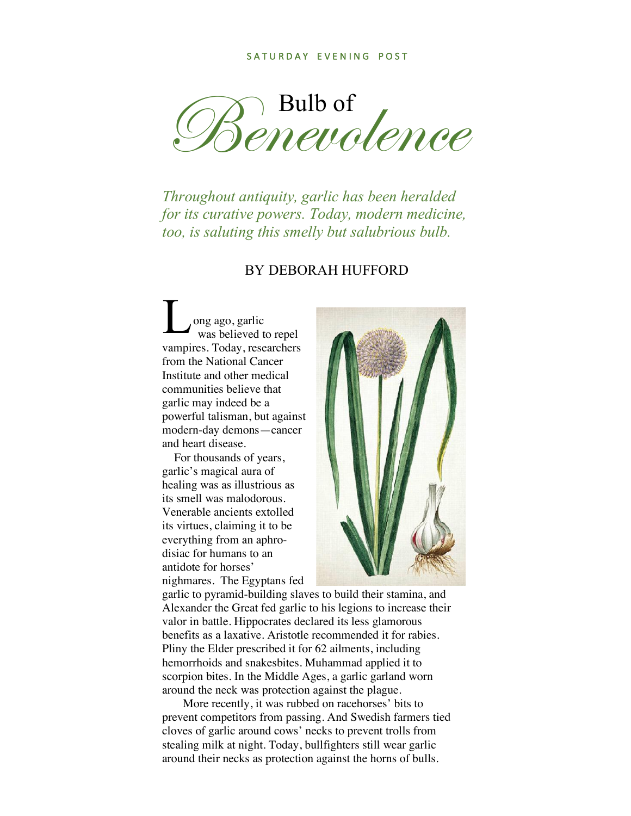Benevolence

*Throughout antiquity, garlic has been heralded for its curative powers. Today, modern medicine, too, is saluting this smelly but salubrious bulb.* 

## BY DEBORAH HUFFORD

ong ago, garlic was believed to repel vampires. Today, researchers from the National Cancer Institute and other medical communities believe that garlic may indeed be a powerful talisman, but against modern-day demons—cancer and heart disease.  $\mathbf{L}$ <sub>w</sub>

 For thousands of years, garlic's magical aura of healing was as illustrious as its smell was malodorous. Venerable ancients extolled its virtues, claiming it to be everything from an aphrodisiac for humans to an antidote for horses' nighmares. The Egyptans fed



garlic to pyramid-building slaves to build their stamina, and Alexander the Great fed garlic to his legions to increase their valor in battle. Hippocrates declared its less glamorous benefits as a laxative. Aristotle recommended it for rabies. Pliny the Elder prescribed it for 62 ailments, including hemorrhoids and snakesbites. Muhammad applied it to scorpion bites. In the Middle Ages, a garlic garland worn around the neck was protection against the plague.

 More recently, it was rubbed on racehorses' bits to prevent competitors from passing. And Swedish farmers tied cloves of garlic around cows' necks to prevent trolls from stealing milk at night. Today, bullfighters still wear garlic around their necks as protection against the horns of bulls.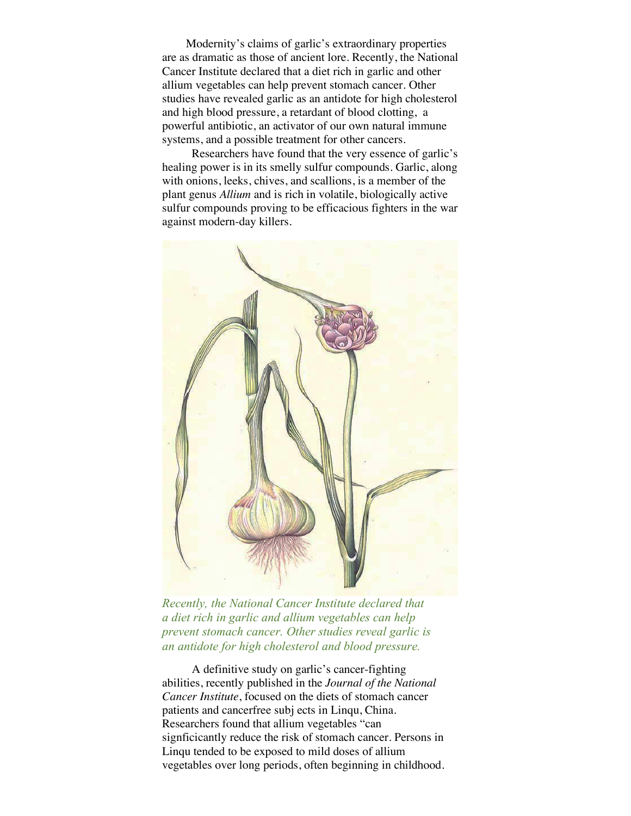Modernity's claims of garlic's extraordinary properties are as dramatic as those of ancient lore. Recently, the National Cancer Institute declared that a diet rich in garlic and other allium vegetables can help prevent stomach cancer. Other studies have revealed garlic as an antidote for high cholesterol and high blood pressure, a retardant of blood clotting, a powerful antibiotic, an activator of our own natural immune systems, and a possible treatment for other cancers.

 Researchers have found that the very essence of garlic's healing power is in its smelly sulfur compounds. Garlic, along with onions, leeks, chives, and scallions, is a member of the plant genus *Allium* and is rich in volatile, biologically active sulfur compounds proving to be efficacious fighters in the war against modern-day killers.



*Recently, the National Cancer Institute declared that a diet rich in garlic and allium vegetables can help prevent stomach cancer. Other studies reveal garlic is an antidote for high cholesterol and blood pressure.* 

 A definitive study on garlic's cancer-fighting abilities, recently published in the *Journal of the National Cancer Institute*, focused on the diets of stomach cancer patients and cancerfree subj ects in Linqu, China. Researchers found that allium vegetables "can signficicantly reduce the risk of stomach cancer. Persons in Linqu tended to be exposed to mild doses of allium vegetables over long periods, often beginning in childhood.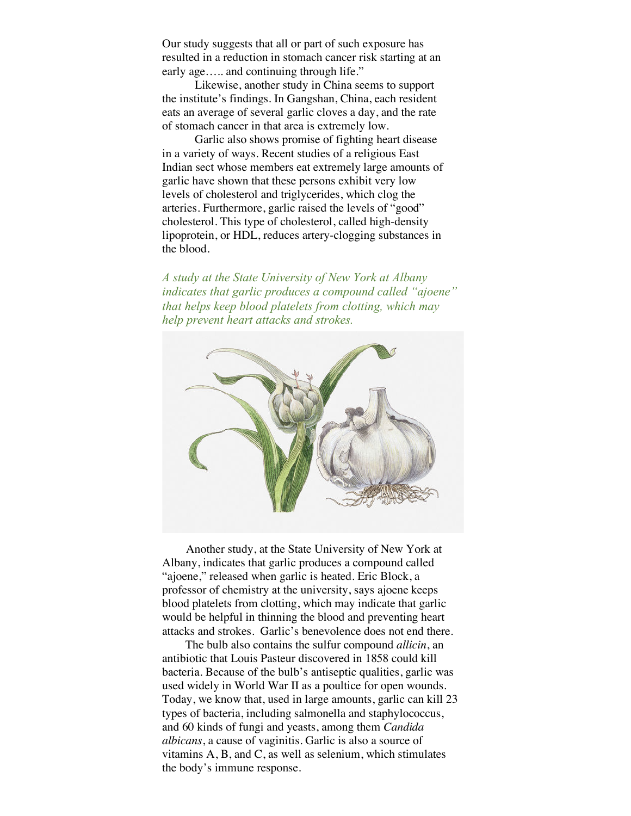Our study suggests that all or part of such exposure has resulted in a reduction in stomach cancer risk starting at an early age….. and continuing through life."

 Likewise, another study in China seems to support the institute's findings. In Gangshan, China, each resident eats an average of several garlic cloves a day, and the rate of stomach cancer in that area is extremely low.

 Garlic also shows promise of fighting heart disease in a variety of ways. Recent studies of a religious East Indian sect whose members eat extremely large amounts of garlic have shown that these persons exhibit very low levels of cholesterol and triglycerides, which clog the arteries. Furthermore, garlic raised the levels of "good" cholesterol. This type of cholesterol, called high-density lipoprotein, or HDL, reduces artery-clogging substances in the blood.

*A study at the State University of New York at Albany indicates that garlic produces a compound called "ajoene" that helps keep blood platelets from clotting, which may help prevent heart attacks and strokes.*



 Another study, at the State University of New York at Albany, indicates that garlic produces a compound called "ajoene," released when garlic is heated. Eric Block, a professor of chemistry at the university, says ajoene keeps blood platelets from clotting, which may indicate that garlic would be helpful in thinning the blood and preventing heart attacks and strokes. Garlic's benevolence does not end there.

The bulb also contains the sulfur compound *allicin*, an antibiotic that Louis Pasteur discovered in 1858 could kill bacteria. Because of the bulb's antiseptic qualities, garlic was used widely in World War II as a poultice for open wounds. Today, we know that, used in large amounts, garlic can kill 23 types of bacteria, including salmonella and staphylococcus, and 60 kinds of fungi and yeasts, among them *Candida albicans*, a cause of vaginitis. Garlic is also a source of vitamins A, B, and C, as well as selenium, which stimulates the body's immune response.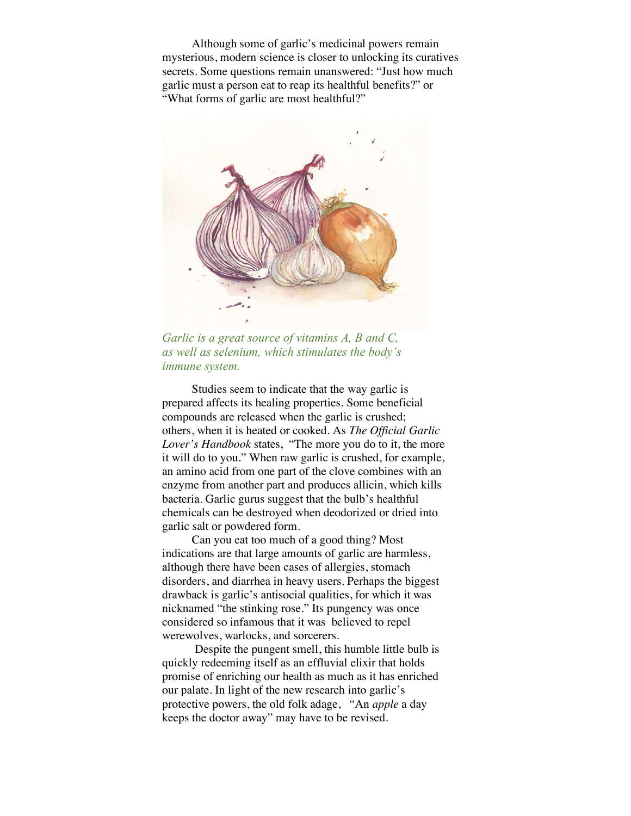Although some of garlic's medicinal powers remain mysterious, modern science is closer to unlocking its curatives secrets. Some questions remain unanswered: "Just how much garlic must a person eat to reap its healthful benefits?" or "What forms of garlic are most healthful?"



*Garlic is a great source of vitamins A, B and C, as well as selenium, which stimulates the body's immune system.*

 Studies seem to indicate that the way garlic is prepared affects its healing properties. Some beneficial compounds are released when the garlic is crushed; others, when it is heated or cooked. As *The Official Garlic Lover's Handbook* states, "The more you do to it, the more it will do to you." When raw garlic is crushed, for example, an amino acid from one part of the clove combines with an enzyme from another part and produces allicin, which kills bacteria. Garlic gurus suggest that the bulb's healthful chemicals can be destroyed when deodorized or dried into garlic salt or powdered form.

 Can you eat too much of a good thing? Most indications are that large amounts of garlic are harmless, although there have been cases of allergies, stomach disorders, and diarrhea in heavy users. Perhaps the biggest drawback is garlic's antisocial qualities, for which it was nicknamed "the stinking rose." Its pungency was once considered so infamous that it was believed to repel werewolves, warlocks, and sorcerers.

 Despite the pungent smell, this humble little bulb is quickly redeeming itself as an effluvial elixir that holds promise of enriching our health as much as it has enriched our palate. In light of the new research into garlic's protective powers, the old folk adage, "An *apple* a day keeps the doctor away" may have to be revised.